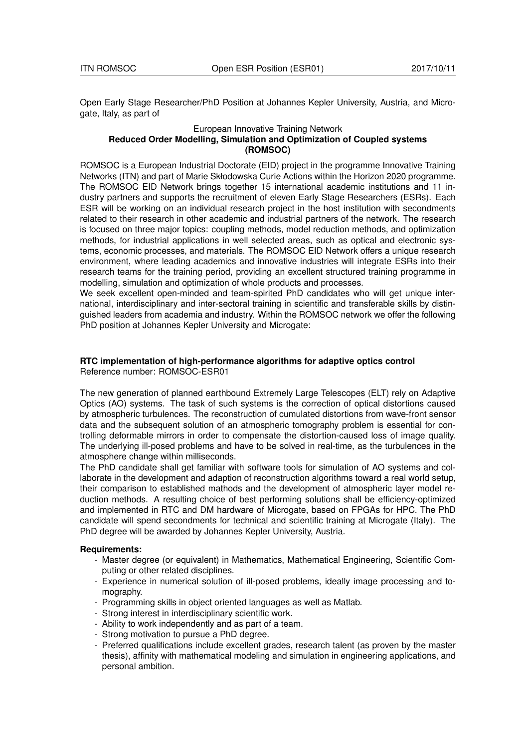Open Early Stage Researcher/PhD Position at Johannes Kepler University, Austria, and Microgate, Italy, as part of

## European Innovative Training Network **Reduced Order Modelling, Simulation and Optimization of Coupled systems (ROMSOC)**

ROMSOC is a European Industrial Doctorate (EID) project in the programme Innovative Training Networks (ITN) and part of Marie Skłodowska Curie Actions within the Horizon 2020 programme. The ROMSOC EID Network brings together 15 international academic institutions and 11 industry partners and supports the recruitment of eleven Early Stage Researchers (ESRs). Each ESR will be working on an individual research project in the host institution with secondments related to their research in other academic and industrial partners of the network. The research is focused on three major topics: coupling methods, model reduction methods, and optimization methods, for industrial applications in well selected areas, such as optical and electronic systems, economic processes, and materials. The ROMSOC EID Network offers a unique research environment, where leading academics and innovative industries will integrate ESRs into their research teams for the training period, providing an excellent structured training programme in modelling, simulation and optimization of whole products and processes.

We seek excellent open-minded and team-spirited PhD candidates who will get unique international, interdisciplinary and inter-sectoral training in scientific and transferable skills by distinguished leaders from academia and industry. Within the ROMSOC network we offer the following PhD position at Johannes Kepler University and Microgate:

## **RTC implementation of high-performance algorithms for adaptive optics control** Reference number: ROMSOC-ESR01

The new generation of planned earthbound Extremely Large Telescopes (ELT) rely on Adaptive Optics (AO) systems. The task of such systems is the correction of optical distortions caused by atmospheric turbulences. The reconstruction of cumulated distortions from wave-front sensor data and the subsequent solution of an atmospheric tomography problem is essential for controlling deformable mirrors in order to compensate the distortion-caused loss of image quality. The underlying ill-posed problems and have to be solved in real-time, as the turbulences in the atmosphere change within milliseconds.

The PhD candidate shall get familiar with software tools for simulation of AO systems and collaborate in the development and adaption of reconstruction algorithms toward a real world setup, their comparison to established mathods and the development of atmospheric layer model reduction methods. A resulting choice of best performing solutions shall be efficiency-optimized and implemented in RTC and DM hardware of Microgate, based on FPGAs for HPC. The PhD candidate will spend secondments for technical and scientific training at Microgate (Italy). The PhD degree will be awarded by Johannes Kepler University, Austria.

## **Requirements:**

- Master degree (or equivalent) in Mathematics, Mathematical Engineering, Scientific Computing or other related disciplines.
- Experience in numerical solution of ill-posed problems, ideally image processing and tomography.
- Programming skills in object oriented languages as well as Matlab.
- Strong interest in interdisciplinary scientific work.
- Ability to work independently and as part of a team.
- Strong motivation to pursue a PhD degree.
- Preferred qualifications include excellent grades, research talent (as proven by the master thesis), affinity with mathematical modeling and simulation in engineering applications, and personal ambition.